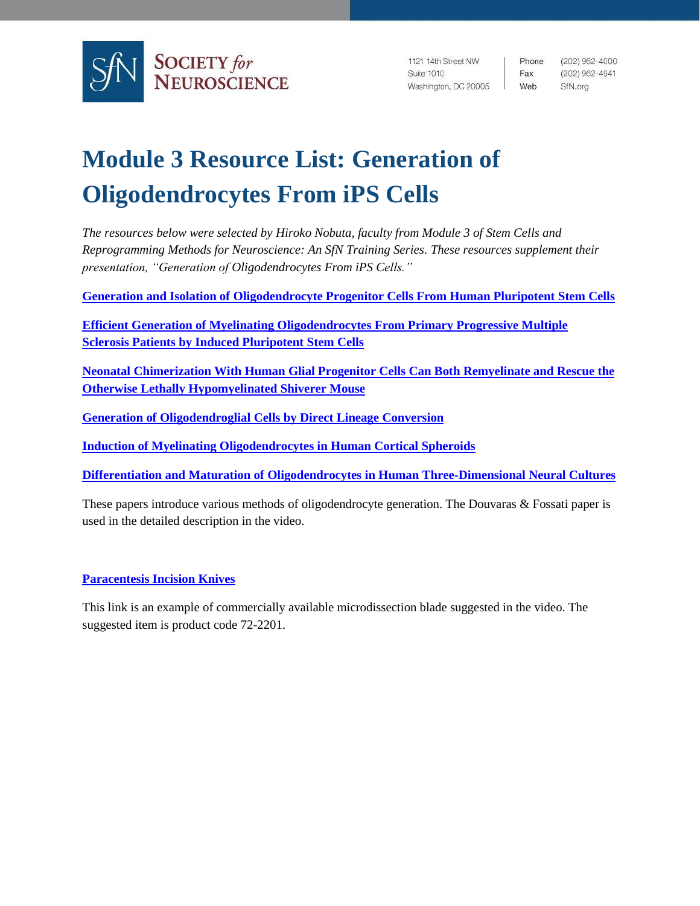

1121 14th Street NW Suite 1010 Washington, DC 20005 Web

Phone. Fax

(202) 962-4000 (202) 962-4941 SfN.org

## **Module 3 Resource List: Generation of Oligodendrocytes From iPS Cells**

*The resources below were selected by Hiroko Nobuta, faculty from Module 3 of Stem Cells and Reprogramming Methods for Neuroscience: An SfN Training Series. These resources supplement their presentation, "Generation of Oligodendrocytes From iPS Cells."*

**[Generation and Isolation of Oligodendrocyte Progenitor Cells From Human Pluripotent Stem Cells](https://doi.org/10.1038/nprot.2015.075)**

**[Efficient Generation of Myelinating Oligodendrocytes From Primary Progressive Multiple](https://doi.org/10.1016/j.stemcr.2014.06.012)  [Sclerosis Patients by Induced Pluripotent Stem Cells](https://doi.org/10.1016/j.stemcr.2014.06.012)**

**[Neonatal Chimerization With Human Glial Progenitor Cells Can Both Remyelinate and Rescue the](https://doi.org/10.1016/j.stem.2008.03.020)  [Otherwise Lethally Hypomyelinated Shiverer Mouse](https://doi.org/10.1016/j.stem.2008.03.020)**

**[Generation of Oligodendroglial Cells by Direct Lineage Conversion](https://doi.org/10.1038/nbt.2564)**

**[Induction of Myelinating Oligodendrocytes in Human Cortical Spheroids](https://doi.org/10.1038/s41592-018-0081-4)**

**[Differentiation and Maturation of Oligodendrocytes](https://doi.org/10.1038/s41593-018-0316-9) in Human Three-Dimensional Neural Cultures**

These papers introduce various methods of oligodendrocyte generation. The Douvaras & Fossati paper is used in the detailed description in the video.

**[Paracentesis Incision Knives](http://www.angiotech.com/our-products/item/82-paracentesis-incision-knives)**

This link is an example of commercially available microdissection blade suggested in the video. The suggested item is product code 72-2201.